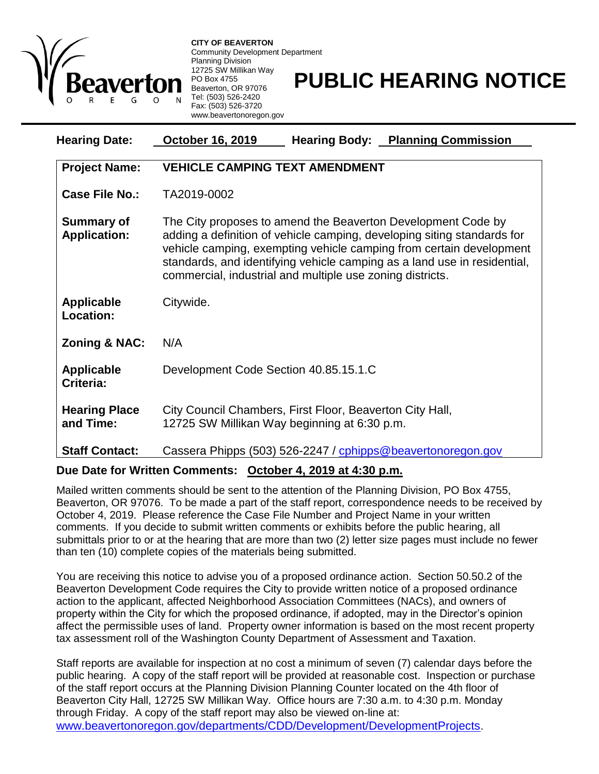

**CITY OF BEAVERTON** Community Development Department Planning Division 12725 SW Millikan Way PO Box 4755 Beaverton, OR 97076 Tel: (503) 526-2420 Fax: (503) 526-3720 www.beavertonoregon.gov

## **PUBLIC HEARING NOTICE**

| <b>Hearing Date:</b>                     | <b>October 16, 2019</b><br><b>Hearing Body: Planning Commission</b>                                                                                                                                                                                                                                                                                     |
|------------------------------------------|---------------------------------------------------------------------------------------------------------------------------------------------------------------------------------------------------------------------------------------------------------------------------------------------------------------------------------------------------------|
| <b>Project Name:</b>                     | <b>VEHICLE CAMPING TEXT AMENDMENT</b>                                                                                                                                                                                                                                                                                                                   |
| <b>Case File No.:</b>                    | TA2019-0002                                                                                                                                                                                                                                                                                                                                             |
| <b>Summary of</b><br><b>Application:</b> | The City proposes to amend the Beaverton Development Code by<br>adding a definition of vehicle camping, developing siting standards for<br>vehicle camping, exempting vehicle camping from certain development<br>standards, and identifying vehicle camping as a land use in residential,<br>commercial, industrial and multiple use zoning districts. |
| Applicable<br>Location:                  | Citywide.                                                                                                                                                                                                                                                                                                                                               |
| <b>Zoning &amp; NAC:</b>                 | N/A                                                                                                                                                                                                                                                                                                                                                     |
| <b>Applicable</b><br>Criteria:           | Development Code Section 40.85.15.1.C                                                                                                                                                                                                                                                                                                                   |
| <b>Hearing Place</b><br>and Time:        | City Council Chambers, First Floor, Beaverton City Hall,<br>12725 SW Millikan Way beginning at 6:30 p.m.                                                                                                                                                                                                                                                |
| <b>Staff Contact:</b>                    | Cassera Phipps (503) 526-2247 / cphipps@beavertonoregon.gov                                                                                                                                                                                                                                                                                             |

## **Due Date for Written Comments: October 4, 2019 at 4:30 p.m.**

Mailed written comments should be sent to the attention of the Planning Division, PO Box 4755, Beaverton, OR 97076. To be made a part of the staff report, correspondence needs to be received by October 4, 2019. Please reference the Case File Number and Project Name in your written comments. If you decide to submit written comments or exhibits before the public hearing, all submittals prior to or at the hearing that are more than two (2) letter size pages must include no fewer than ten (10) complete copies of the materials being submitted.

You are receiving this notice to advise you of a proposed ordinance action. Section 50.50.2 of the Beaverton Development Code requires the City to provide written notice of a proposed ordinance action to the applicant, affected Neighborhood Association Committees (NACs), and owners of property within the City for which the proposed ordinance, if adopted, may in the Director's opinion affect the permissible uses of land. Property owner information is based on the most recent property tax assessment roll of the Washington County Department of Assessment and Taxation.

Staff reports are available for inspection at no cost a minimum of seven (7) calendar days before the public hearing. A copy of the staff report will be provided at reasonable cost. Inspection or purchase of the staff report occurs at the Planning Division Planning Counter located on the 4th floor of Beaverton City Hall, 12725 SW Millikan Way. Office hours are 7:30 a.m. to 4:30 p.m. Monday through Friday. A copy of the staff report may also be viewed on-line at: [www.beavertonoregon.gov/departments/CDD/Development/DevelopmentProjects](http://www.beavertonoregon.gov/departments/CDD/Development/DevelopmentProjects).